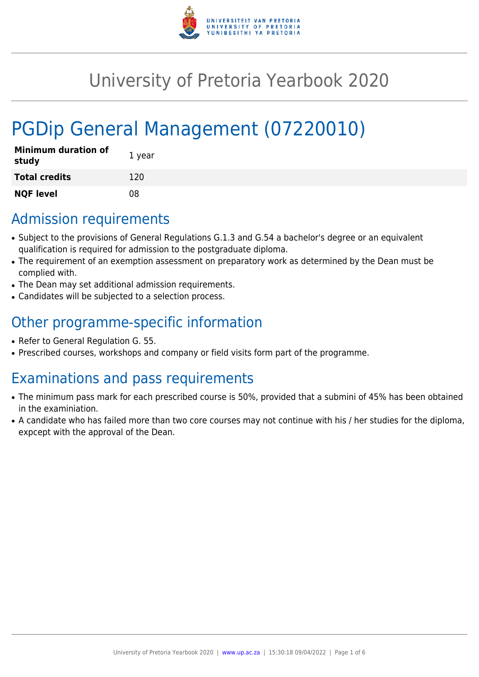

# University of Pretoria Yearbook 2020

# PGDip General Management (07220010)

| <b>Minimum duration of</b><br>study | 1 year |
|-------------------------------------|--------|
| <b>Total credits</b>                | 120    |
| <b>NQF level</b>                    | 08     |

# Admission requirements

- Subject to the provisions of General Regulations G.1.3 and G.54 a bachelor's degree or an equivalent qualification is required for admission to the postgraduate diploma.
- The requirement of an exemption assessment on preparatory work as determined by the Dean must be complied with.
- The Dean may set additional admission requirements.
- Candidates will be subjected to a selection process.

# Other programme-specific information

- Refer to General Regulation G. 55.
- Prescribed courses, workshops and company or field visits form part of the programme.

# Examinations and pass requirements

- The minimum pass mark for each prescribed course is 50%, provided that a submini of 45% has been obtained in the examiniation.
- A candidate who has failed more than two core courses may not continue with his / her studies for the diploma, expcept with the approval of the Dean.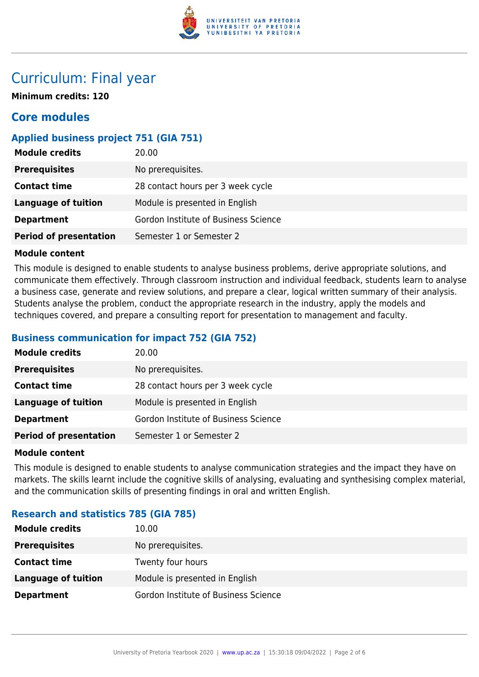

# Curriculum: Final year

**Minimum credits: 120**

# **Core modules**

# **Applied business project 751 (GIA 751)**

| <b>Module credits</b>         | 20.00                                |
|-------------------------------|--------------------------------------|
| <b>Prerequisites</b>          | No prerequisites.                    |
| <b>Contact time</b>           | 28 contact hours per 3 week cycle    |
| Language of tuition           | Module is presented in English       |
| <b>Department</b>             | Gordon Institute of Business Science |
| <b>Period of presentation</b> | Semester 1 or Semester 2             |

#### **Module content**

This module is designed to enable students to analyse business problems, derive appropriate solutions, and communicate them effectively. Through classroom instruction and individual feedback, students learn to analyse a business case, generate and review solutions, and prepare a clear, logical written summary of their analysis. Students analyse the problem, conduct the appropriate research in the industry, apply the models and techniques covered, and prepare a consulting report for presentation to management and faculty.

### **Business communication for impact 752 (GIA 752)**

| <b>Module credits</b>         | 20.00                                |
|-------------------------------|--------------------------------------|
| <b>Prerequisites</b>          | No prerequisites.                    |
| <b>Contact time</b>           | 28 contact hours per 3 week cycle    |
| Language of tuition           | Module is presented in English       |
| <b>Department</b>             | Gordon Institute of Business Science |
| <b>Period of presentation</b> | Semester 1 or Semester 2             |

#### **Module content**

This module is designed to enable students to analyse communication strategies and the impact they have on markets. The skills learnt include the cognitive skills of analysing, evaluating and synthesising complex material, and the communication skills of presenting findings in oral and written English.

## **Research and statistics 785 (GIA 785)**

| <b>Module credits</b> | 10.00                                |
|-----------------------|--------------------------------------|
| <b>Prerequisites</b>  | No prerequisites.                    |
| <b>Contact time</b>   | Twenty four hours                    |
| Language of tuition   | Module is presented in English       |
| <b>Department</b>     | Gordon Institute of Business Science |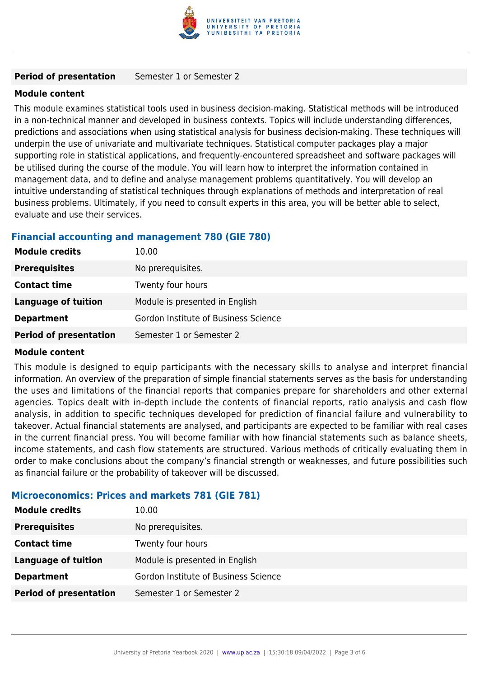

#### **Period of presentation** Semester 1 or Semester 2

#### **Module content**

This module examines statistical tools used in business decision-making. Statistical methods will be introduced in a non-technical manner and developed in business contexts. Topics will include understanding differences, predictions and associations when using statistical analysis for business decision-making. These techniques will underpin the use of univariate and multivariate techniques. Statistical computer packages play a major supporting role in statistical applications, and frequently-encountered spreadsheet and software packages will be utilised during the course of the module. You will learn how to interpret the information contained in management data, and to define and analyse management problems quantitatively. You will develop an intuitive understanding of statistical techniques through explanations of methods and interpretation of real business problems. Ultimately, if you need to consult experts in this area, you will be better able to select, evaluate and use their services.

### **Financial accounting and management 780 (GIE 780)**

| <b>Module credits</b>         | 10.00                                |
|-------------------------------|--------------------------------------|
| <b>Prerequisites</b>          | No prerequisites.                    |
| <b>Contact time</b>           | Twenty four hours                    |
| <b>Language of tuition</b>    | Module is presented in English       |
| <b>Department</b>             | Gordon Institute of Business Science |
| <b>Period of presentation</b> | Semester 1 or Semester 2             |

#### **Module content**

This module is designed to equip participants with the necessary skills to analyse and interpret financial information. An overview of the preparation of simple financial statements serves as the basis for understanding the uses and limitations of the financial reports that companies prepare for shareholders and other external agencies. Topics dealt with in-depth include the contents of financial reports, ratio analysis and cash flow analysis, in addition to specific techniques developed for prediction of financial failure and vulnerability to takeover. Actual financial statements are analysed, and participants are expected to be familiar with real cases in the current financial press. You will become familiar with how financial statements such as balance sheets, income statements, and cash flow statements are structured. Various methods of critically evaluating them in order to make conclusions about the company's financial strength or weaknesses, and future possibilities such as financial failure or the probability of takeover will be discussed.

#### **Microeconomics: Prices and markets 781 (GIE 781)**

| <b>Module credits</b>         | 10.00                                |
|-------------------------------|--------------------------------------|
| <b>Prerequisites</b>          | No prerequisites.                    |
| <b>Contact time</b>           | Twenty four hours                    |
| <b>Language of tuition</b>    | Module is presented in English       |
| <b>Department</b>             | Gordon Institute of Business Science |
| <b>Period of presentation</b> | Semester 1 or Semester 2             |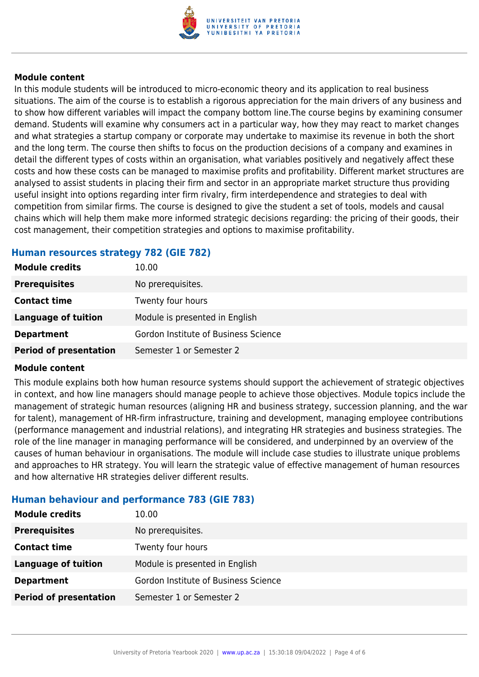

#### **Module content**

In this module students will be introduced to micro-economic theory and its application to real business situations. The aim of the course is to establish a rigorous appreciation for the main drivers of any business and to show how different variables will impact the company bottom line.The course begins by examining consumer demand. Students will examine why consumers act in a particular way, how they may react to market changes and what strategies a startup company or corporate may undertake to maximise its revenue in both the short and the long term. The course then shifts to focus on the production decisions of a company and examines in detail the different types of costs within an organisation, what variables positively and negatively affect these costs and how these costs can be managed to maximise profits and profitability. Different market structures are analysed to assist students in placing their firm and sector in an appropriate market structure thus providing useful insight into options regarding inter firm rivalry, firm interdependence and strategies to deal with competition from similar firms. The course is designed to give the student a set of tools, models and causal chains which will help them make more informed strategic decisions regarding: the pricing of their goods, their cost management, their competition strategies and options to maximise profitability.

#### **Human resources strategy 782 (GIE 782)**

| <b>Module credits</b>         | 10.00                                |
|-------------------------------|--------------------------------------|
| <b>Prerequisites</b>          | No prerequisites.                    |
| <b>Contact time</b>           | Twenty four hours                    |
| <b>Language of tuition</b>    | Module is presented in English       |
| <b>Department</b>             | Gordon Institute of Business Science |
| <b>Period of presentation</b> | Semester 1 or Semester 2             |

#### **Module content**

This module explains both how human resource systems should support the achievement of strategic objectives in context, and how line managers should manage people to achieve those objectives. Module topics include the management of strategic human resources (aligning HR and business strategy, succession planning, and the war for talent), management of HR-firm infrastructure, training and development, managing employee contributions (performance management and industrial relations), and integrating HR strategies and business strategies. The role of the line manager in managing performance will be considered, and underpinned by an overview of the causes of human behaviour in organisations. The module will include case studies to illustrate unique problems and approaches to HR strategy. You will learn the strategic value of effective management of human resources and how alternative HR strategies deliver different results.

## **Human behaviour and performance 783 (GIE 783)**

| 10.00                                |
|--------------------------------------|
| No prerequisites.                    |
| Twenty four hours                    |
| Module is presented in English       |
| Gordon Institute of Business Science |
| Semester 1 or Semester 2             |
|                                      |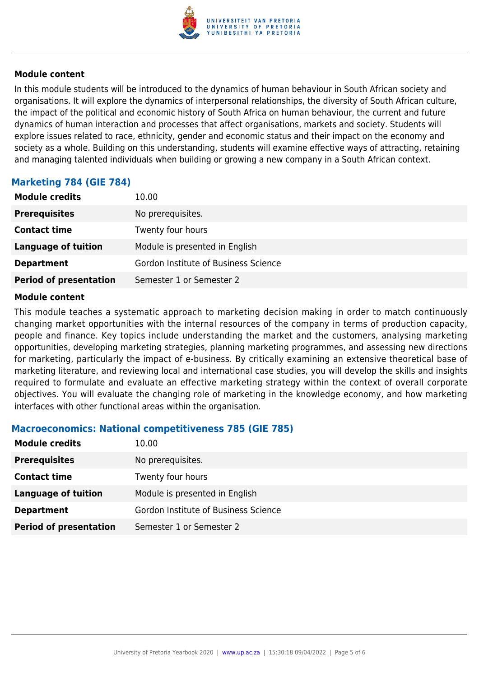

#### **Module content**

In this module students will be introduced to the dynamics of human behaviour in South African society and organisations. It will explore the dynamics of interpersonal relationships, the diversity of South African culture, the impact of the political and economic history of South Africa on human behaviour, the current and future dynamics of human interaction and processes that affect organisations, markets and society. Students will explore issues related to race, ethnicity, gender and economic status and their impact on the economy and society as a whole. Building on this understanding, students will examine effective ways of attracting, retaining and managing talented individuals when building or growing a new company in a South African context.

## **Marketing 784 (GIE 784)**

| <b>Module credits</b>         | 10.00                                |
|-------------------------------|--------------------------------------|
| <b>Prerequisites</b>          | No prerequisites.                    |
| <b>Contact time</b>           | Twenty four hours                    |
| <b>Language of tuition</b>    | Module is presented in English       |
| <b>Department</b>             | Gordon Institute of Business Science |
| <b>Period of presentation</b> | Semester 1 or Semester 2             |

#### **Module content**

This module teaches a systematic approach to marketing decision making in order to match continuously changing market opportunities with the internal resources of the company in terms of production capacity, people and finance. Key topics include understanding the market and the customers, analysing marketing opportunities, developing marketing strategies, planning marketing programmes, and assessing new directions for marketing, particularly the impact of e-business. By critically examining an extensive theoretical base of marketing literature, and reviewing local and international case studies, you will develop the skills and insights required to formulate and evaluate an effective marketing strategy within the context of overall corporate objectives. You will evaluate the changing role of marketing in the knowledge economy, and how marketing interfaces with other functional areas within the organisation.

#### **Macroeconomics: National competitiveness 785 (GIE 785)**

| <b>Module credits</b>         | 10.00                                |
|-------------------------------|--------------------------------------|
| <b>Prerequisites</b>          | No prerequisites.                    |
| <b>Contact time</b>           | Twenty four hours                    |
| <b>Language of tuition</b>    | Module is presented in English       |
| <b>Department</b>             | Gordon Institute of Business Science |
| <b>Period of presentation</b> | Semester 1 or Semester 2             |